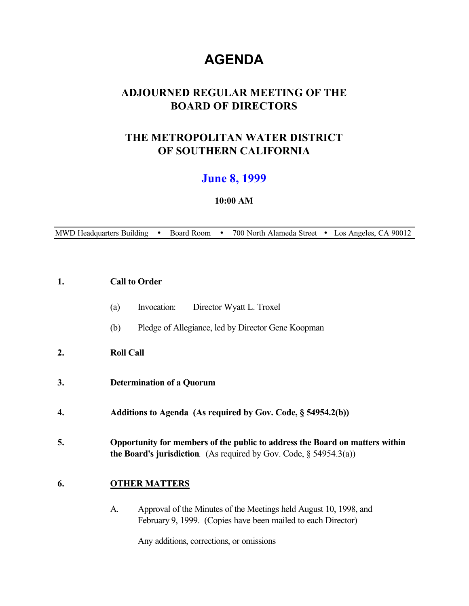# **AGENDA**

# **ADJOURNED REGULAR MEETING OF THE BOARD OF DIRECTORS**

# **THE METROPOLITAN WATER DISTRICT OF SOUTHERN CALIFORNIA**

# **June 8, 1999**

# **10:00 AM**

MWD Headquarters Building . Board Room . 700 North Alameda Street . Los Angeles, CA 90012

#### **1. Call to Order**

- (a) Invocation: Director Wyatt L. Troxel
- (b) Pledge of Allegiance, led by Director Gene Koopman

# **2. Roll Call**

- **3. Determination of a Quorum**
- **4. Additions to Agenda (As required by Gov. Code, § 54954.2(b))**
- **5. Opportunity for members of the public to address the Board on matters within the Board's jurisdiction**.(As required by Gov. Code, § 54954.3(a))

# **6. OTHER MATTERS**

A. Approval of the Minutes of the Meetings held August 10, 1998, and February 9, 1999. (Copies have been mailed to each Director)

Any additions, corrections, or omissions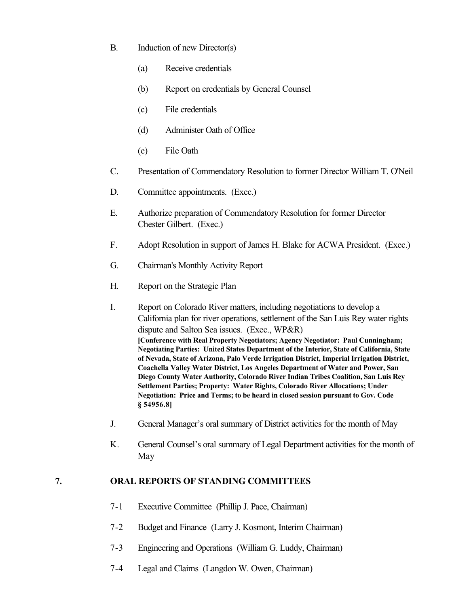- B. Induction of new Director(s)
	- (a) Receive credentials
	- (b) Report on credentials by General Counsel
	- (c) File credentials
	- (d) Administer Oath of Office
	- (e) File Oath
- C. Presentation of Commendatory Resolution to former Director William T. O'Neil
- D. Committee appointments. (Exec.)
- E. Authorize preparation of Commendatory Resolution for former Director Chester Gilbert. (Exec.)
- F. Adopt Resolution in support of James H. Blake for ACWA President. (Exec.)
- G. Chairman's Monthly Activity Report
- H. Report on the Strategic Plan
- I. Report on Colorado River matters, including negotiations to develop a California plan for river operations, settlement of the San Luis Rey water rights dispute and Salton Sea issues. (Exec., WP&R) **[Conference with Real Property Negotiators; Agency Negotiator: Paul Cunningham; Negotiating Parties: United States Department of the Interior, State of California, State of Nevada, State of Arizona, Palo Verde Irrigation District, Imperial Irrigation District, Coachella Valley Water District, Los Angeles Department of Water and Power, San Diego County Water Authority, Colorado River Indian Tribes Coalition, San Luis Rey Settlement Parties; Property: Water Rights, Colorado River Allocations; Under Negotiation: Price and Terms; to be heard in closed session pursuant to Gov. Code § 54956.8]**
- J. General Manager's oral summary of District activities for the month of May
- K. General Counsel's oral summary of Legal Department activities for the month of May

# **7. ORAL REPORTS OF STANDING COMMITTEES**

- 7-1Executive Committee (Phillip J. Pace, Chairman)
- 7-2 Budget and Finance (Larry J. Kosmont, Interim Chairman)
- 7-3 Engineering and Operations (William G. Luddy, Chairman)
- 7-4 Legal and Claims (Langdon W. Owen, Chairman)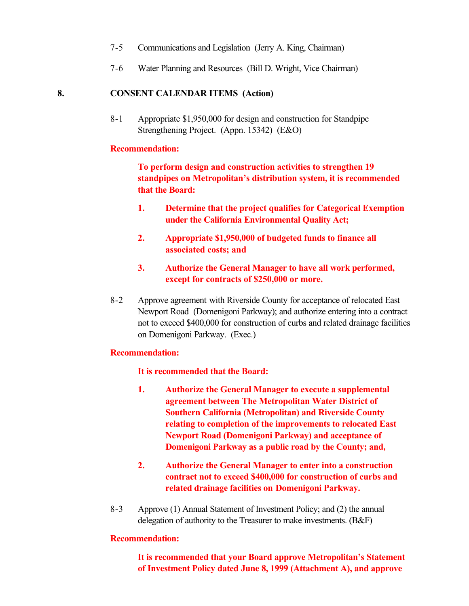- 7-5 Communications and Legislation (Jerry A. King, Chairman)
- 7-6 Water Planning and Resources (Bill D. Wright, Vice Chairman)

#### **8. CONSENT CALENDAR ITEMS (Action)**

8-1 Appropriate \$1,950,000 for design and construction for Standpipe Strengthening Project. (Appn. 15342) (E&O)

#### **Recommendation:**

**To perform design and construction activities to strengthen 19 standpipes on Metropolitan's distribution system, it is recommended that the Board:**

- **1. Determine that the project qualifies for Categorical Exemption under the California Environmental Quality Act;**
- **2. Appropriate \$1,950,000 of budgeted funds to finance all associated costs; and**
- **3. Authorize the General Manager to have all work performed, except for contracts of \$250,000 or more.**
- 8-2 Approve agreement with Riverside County for acceptance of relocated East Newport Road (Domenigoni Parkway); and authorize entering into a contract not to exceed \$400,000 for construction of curbs and related drainage facilities on Domenigoni Parkway. (Exec.)

#### **Recommendation:**

**It is recommended that the Board:**

- **1. Authorize the General Manager to execute a supplemental agreement between The Metropolitan Water District of Southern California (Metropolitan) and Riverside County relating to completion of the improvements to relocated East Newport Road (Domenigoni Parkway) and acceptance of Domenigoni Parkway as a public road by the County; and,**
- **2. Authorize the General Manager to enter into a construction contract not to exceed \$400,000 for construction of curbs and related drainage facilities on Domenigoni Parkway.**
- 8-3 Approve (1) Annual Statement of Investment Policy; and (2) the annual delegation of authority to the Treasurer to make investments. (B&F)

#### **Recommendation:**

**It is recommended that your Board approve Metropolitan's Statement of Investment Policy dated June 8, 1999 (Attachment A), and approve**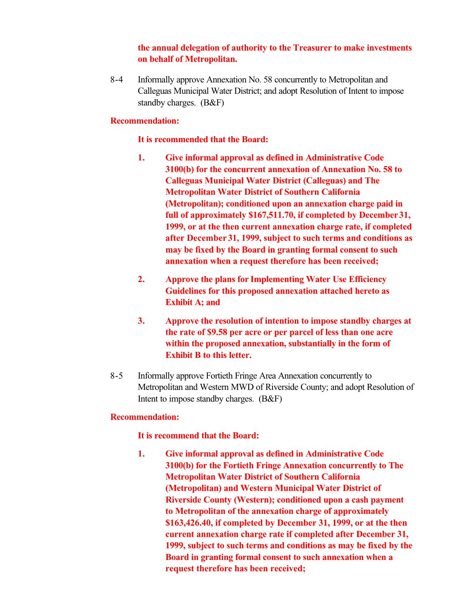# **the annual delegation of authority to the Treasurer to make investments on behalf of Metropolitan.**

8-4 Informally approve Annexation No. 58 concurrently to Metropolitan and Calleguas Municipal Water District; and adopt Resolution of Intent to impose standby charges. (B&F)

#### **Recommendation:**

#### **It is recommended that the Board:**

- **1. Give informal approval as defined in Administrative Code 3100(b) for the concurrent annexation of Annexation No. 58 to Calleguas Municipal Water District (Calleguas) and The Metropolitan Water District of Southern California (Metropolitan); conditioned upon an annexation charge paid in full of approximately \$167,511.70, if completed by December 31, 1999, or at the then current annexation charge rate, if completed after December 31, 1999, subject to such terms and conditions as may be fixed by the Board in granting formal consent to such annexation when a request therefore has been received;**
- **2. Approve the plans for Implementing Water Use Efficiency Guidelines for this proposed annexation attached hereto as Exhibit A; and**
- **3. Approve the resolution of intention to impose standby charges at the rate of \$9.58 per acre or per parcel of less than one acre within the proposed annexation, substantially in the form of Exhibit B to this letter.**
- 8-5 Informally approve Fortieth Fringe Area Annexation concurrently to Metropolitan and Western MWD of Riverside County; and adopt Resolution of Intent to impose standby charges. (B&F)

#### **Recommendation:**

# **It is recommend that the Board:**

**1. Give informal approval as defined in Administrative Code 3100(b) for the Fortieth Fringe Annexation concurrently to The Metropolitan Water District of Southern California (Metropolitan) and Western Municipal Water District of Riverside County (Western); conditioned upon a cash payment to Metropolitan of the annexation charge of approximately \$163,426.40, if completed by December 31, 1999, or at the then current annexation charge rate if completed after December 31, 1999, subject to such terms and conditions as may be fixed by the Board in granting formal consent to such annexation when a request therefore has been received;**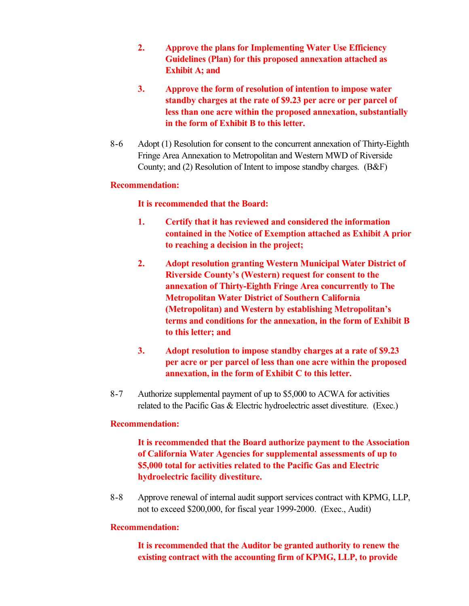- **2. Approve the plans for Implementing Water Use Efficiency Guidelines (Plan) for this proposed annexation attached as Exhibit A; and**
- **3. Approve the form of resolution of intention to impose water standby charges at the rate of \$9.23 per acre or per parcel of less than one acre within the proposed annexation, substantially in the form of Exhibit B to this letter.**
- 8-6 Adopt (1) Resolution for consent to the concurrent annexation of Thirty-Eighth Fringe Area Annexation to Metropolitan and Western MWD of Riverside County; and (2) Resolution of Intent to impose standby charges. (B&F)

# **Recommendation:**

# **It is recommended that the Board:**

- **1. Certify that it has reviewed and considered the information contained in the Notice of Exemption attached as Exhibit A prior to reaching a decision in the project;**
- **2. Adopt resolution granting Western Municipal Water District of Riverside County's (Western) request for consent to the annexation of Thirty-Eighth Fringe Area concurrently to The Metropolitan Water District of Southern California (Metropolitan) and Western by establishing Metropolitan's terms and conditions for the annexation, in the form of Exhibit B to this letter; and**
- **3. Adopt resolution to impose standby charges at a rate of \$9.23 per acre or per parcel of less than one acre within the proposed annexation, in the form of Exhibit C to this letter.**
- 8-7 Authorize supplemental payment of up to \$5,000 to ACWA for activities related to the Pacific Gas & Electric hydroelectric asset divestiture. (Exec.)

# **Recommendation:**

**It is recommended that the Board authorize payment to the Association of California Water Agencies for supplemental assessments of up to \$5,000 total for activities related to the Pacific Gas and Electric hydroelectric facility divestiture.**

8-8 Approve renewal of internal audit support services contract with KPMG, LLP, not to exceed \$200,000, for fiscal year 1999-2000. (Exec., Audit)

# **Recommendation:**

**It is recommended that the Auditor be granted authority to renew the existing contract with the accounting firm of KPMG, LLP, to provide**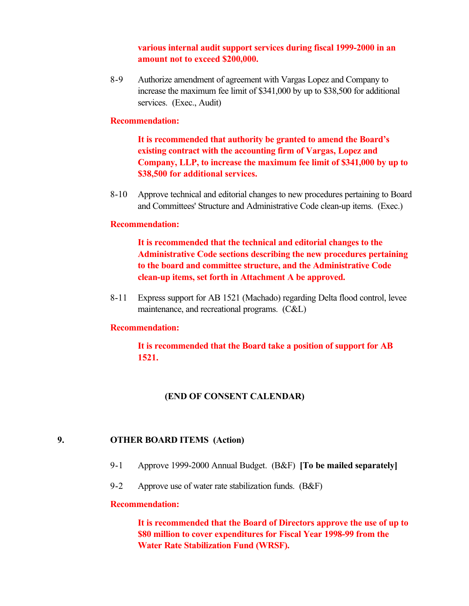**various internal audit support services during fiscal 1999-2000 in an amount not to exceed \$200,000.**

8-9 Authorize amendment of agreement with Vargas Lopez and Company to increase the maximum fee limit of \$341,000 by up to \$38,500 for additional services. (Exec., Audit)

#### **Recommendation:**

**It is recommended that authority be granted to amend the Board's existing contract with the accounting firm of Vargas, Lopez and Company, LLP, to increase the maximum fee limit of \$341,000 by up to \$38,500 for additional services.**

8-10 Approve technical and editorial changes to new procedures pertaining to Board and Committees' Structure and Administrative Code clean-up items. (Exec.)

#### **Recommendation:**

**It is recommended that the technical and editorial changes to the Administrative Code sections describing the new procedures pertaining to the board and committee structure, and the Administrative Code clean-up items, set forth in Attachment A be approved.**

8-11 Express support for AB 1521 (Machado) regarding Delta flood control, levee maintenance, and recreational programs. (C&L)

#### **Recommendation:**

**It is recommended that the Board take a position of support for AB 1521.**

#### **(END OF CONSENT CALENDAR)**

# **9. OTHER BOARD ITEMS (Action)**

- 9-1 Approve 1999-2000 Annual Budget. (B&F) **[To be mailed separately]**
- 9-2 Approve use of water rate stabilization funds. (B&F)

#### **Recommendation:**

**It is recommended that the Board of Directors approve the use of up to \$80 million to cover expenditures for Fiscal Year 1998-99 from the Water Rate Stabilization Fund (WRSF).**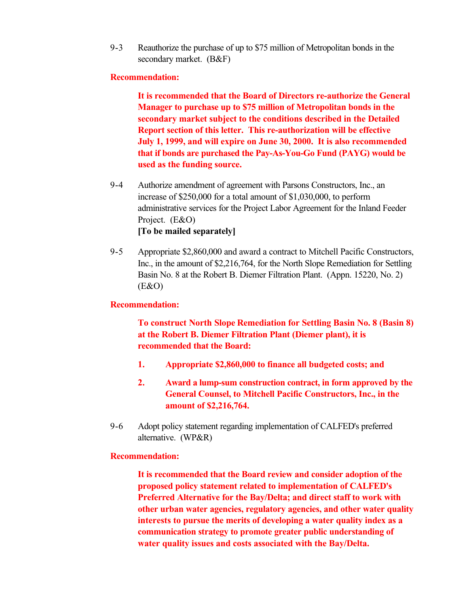9-3 Reauthorize the purchase of up to \$75 million of Metropolitan bonds in the secondary market. (B&F)

#### **Recommendation:**

**It is recommended that the Board of Directors re-authorize the General Manager to purchase up to \$75 million of Metropolitan bonds in the secondary market subject to the conditions described in the Detailed Report section of this letter. This re-authorization will be effective July 1, 1999, and will expire on June 30, 2000. It is also recommended that if bonds are purchased the Pay-As-You-Go Fund (PAYG) would be used as the funding source.**

- 9-4 Authorize amendment of agreement with Parsons Constructors, Inc., an increase of \$250,000 for a total amount of \$1,030,000, to perform administrative services for the Project Labor Agreement for the Inland Feeder Project. (E&O) **[To be mailed separately]**
- 9-5 Appropriate \$2,860,000 and award a contract to Mitchell Pacific Constructors, Inc., in the amount of \$2,216,764, for the North Slope Remediation for Settling Basin No. 8 at the Robert B. Diemer Filtration Plant. (Appn. 15220, No. 2) (E&O)

#### **Recommendation:**

**To construct North Slope Remediation for Settling Basin No. 8 (Basin 8) at the Robert B. Diemer Filtration Plant (Diemer plant), it is recommended that the Board:**

- **1. Appropriate \$2,860,000 to finance all budgeted costs; and**
- **2. Award a lump-sum construction contract, in form approved by the General Counsel, to Mitchell Pacific Constructors, Inc., in the amount of \$2,216,764.**
- 9-6 Adopt policy statement regarding implementation of CALFED's preferred alternative. (WP&R)

#### **Recommendation:**

**It is recommended that the Board review and consider adoption of the proposed policy statement related to implementation of CALFED's Preferred Alternative for the Bay/Delta; and direct staff to work with other urban water agencies, regulatory agencies, and other water quality interests to pursue the merits of developing a water quality index as a communication strategy to promote greater public understanding of water quality issues and costs associated with the Bay/Delta.**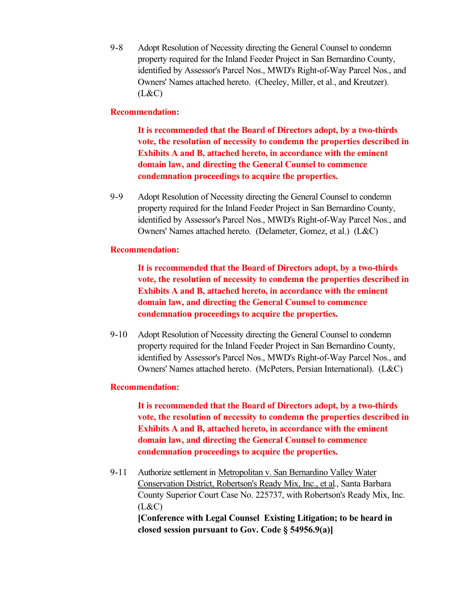9-8 Adopt Resolution of Necessity directing the General Counsel to condemn property required for the Inland Feeder Project in San Bernardino County, identified by Assessor's Parcel Nos., MWD's Right-of-Way Parcel Nos., and Owners' Names attached hereto. (Cheeley, Miller, et al., and Kreutzer).  $(L&C)$ 

# **Recommendation:**

**It is recommended that the Board of Directors adopt, by a two-thirds vote, the resolution of necessity to condemn the properties described in Exhibits A and B, attached hereto, in accordance with the eminent domain law, and directing the General Counsel to commence condemnation proceedings to acquire the properties.**

9-9 Adopt Resolution of Necessity directing the General Counsel to condemn property required for the Inland Feeder Project in San Bernardino County, identified by Assessor's Parcel Nos., MWD's Right-of-Way Parcel Nos., and Owners' Names attached hereto. (Delameter, Gomez, et al.) (L&C)

# **Recommendation:**

**It is recommended that the Board of Directors adopt, by a two-thirds vote, the resolution of necessity to condemn the properties described in Exhibits A and B, attached hereto, in accordance with the eminent domain law, and directing the General Counsel to commence condemnation proceedings to acquire the properties.**

9-10 Adopt Resolution of Necessity directing the General Counsel to condemn property required for the Inland Feeder Project in San Bernardino County, identified by Assessor's Parcel Nos., MWD's Right-of-Way Parcel Nos., and Owners' Names attached hereto. (McPeters, Persian International). (L&C)

# **Recommendation:**

**It is recommended that the Board of Directors adopt, by a two-thirds vote, the resolution of necessity to condemn the properties described in Exhibits A and B, attached hereto, in accordance with the eminent domain law, and directing the General Counsel to commence condemnation proceedings to acquire the properties.**

9-11 Authorize settlement in Metropolitan v. San Bernardino Valley Water Conservation District, Robertson's Ready Mix, Inc., et al., Santa Barbara County Superior Court Case No. 225737, with Robertson's Ready Mix, Inc.  $(L&C)$ 

**[Conference with Legal Counsel Existing Litigation; to be heard in closed session pursuant to Gov. Code § 54956.9(a)]**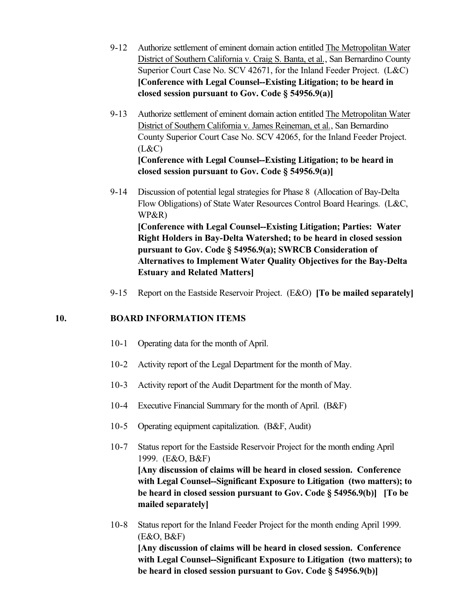- 9-12 Authorize settlement of eminent domain action entitled The Metropolitan Water District of Southern California v. Craig S. Banta, et al., San Bernardino County Superior Court Case No. SCV 42671, for the Inland Feeder Project. (L&C) **[Conference with Legal Counsel--Existing Litigation; to be heard in closed session pursuant to Gov. Code § 54956.9(a)]**
- 9-13 Authorize settlement of eminent domain action entitled The Metropolitan Water District of Southern California v. James Reineman, et al., San Bernardino County Superior Court Case No. SCV 42065, for the Inland Feeder Project.  $(L&C)$ **[Conference with Legal Counsel--Existing Litigation; to be heard in closed session pursuant to Gov. Code § 54956.9(a)]**
- 9-14 Discussion of potential legal strategies for Phase 8 (Allocation of Bay-Delta Flow Obligations) of State Water Resources Control Board Hearings. (L&C, WP&R) **[Conference with Legal Counsel--Existing Litigation; Parties: Water Right Holders in Bay-Delta Watershed; to be heard in closed session pursuant to Gov. Code § 54956.9(a); SWRCB Consideration of Alternatives to Implement Water Quality Objectives for the Bay-Delta Estuary and Related Matters]**
- 9-15 Report on the Eastside Reservoir Project. (E&O) **[To be mailed separately]**

# **10. BOARD INFORMATION ITEMS**

- 10-1 Operating data for the month of April.
- 10-2 Activity report of the Legal Department for the month of May.
- 10-3 Activity report of the Audit Department for the month of May.
- 10-4 Executive Financial Summary for the month of April. (B&F)
- 10-5 Operating equipment capitalization. (B&F, Audit)
- 10-7 Status report for the Eastside Reservoir Project for the month ending April 1999. (E&O, B&F) **[Any discussion of claims will be heard in closed session. Conference with Legal Counsel--Significant Exposure to Litigation (two matters); to be heard in closed session pursuant to Gov. Code § 54956.9(b)] [To be mailed separately]**
- 10-8 Status report for the Inland Feeder Project for the month ending April 1999. (E&O, B&F) **[Any discussion of claims will be heard in closed session. Conference with Legal Counsel--Significant Exposure to Litigation (two matters); to be heard in closed session pursuant to Gov. Code § 54956.9(b)]**